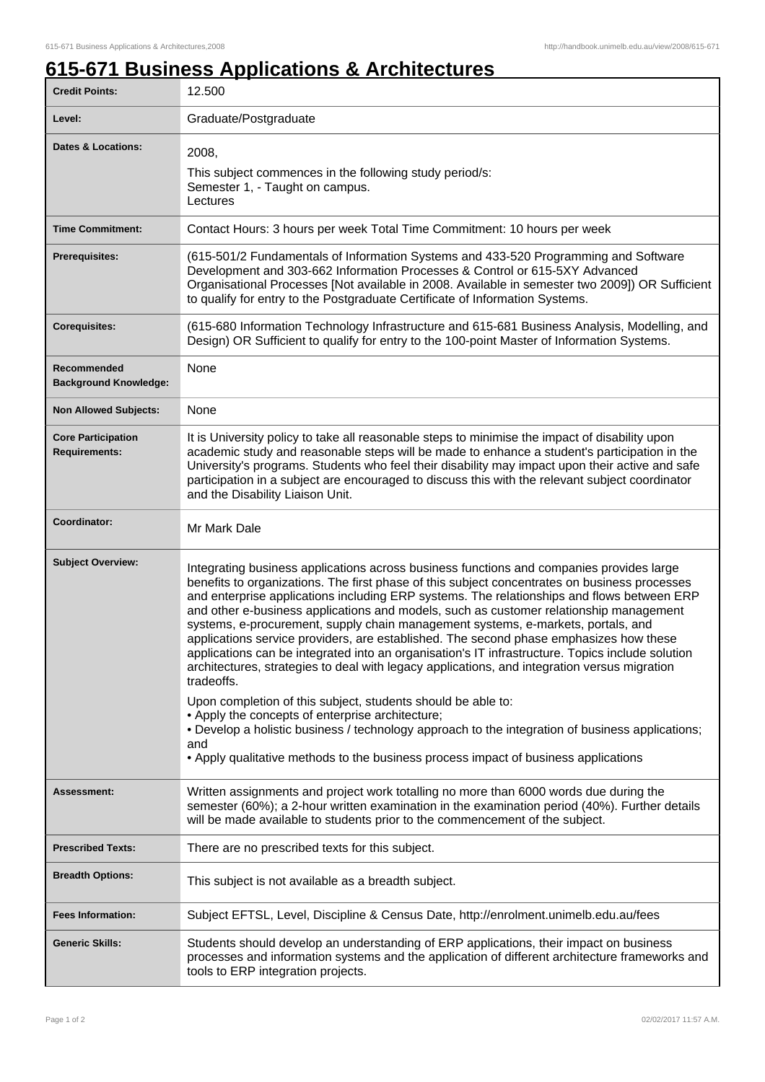## **615-671 Business Applications & Architectures**

| <b>Credit Points:</b>                             | 12.500                                                                                                                                                                                                                                                                                                                                                                                                                                                                                                                                                                                                                                                                                                                                                                                                                                                                                                |
|---------------------------------------------------|-------------------------------------------------------------------------------------------------------------------------------------------------------------------------------------------------------------------------------------------------------------------------------------------------------------------------------------------------------------------------------------------------------------------------------------------------------------------------------------------------------------------------------------------------------------------------------------------------------------------------------------------------------------------------------------------------------------------------------------------------------------------------------------------------------------------------------------------------------------------------------------------------------|
| Level:                                            | Graduate/Postgraduate                                                                                                                                                                                                                                                                                                                                                                                                                                                                                                                                                                                                                                                                                                                                                                                                                                                                                 |
| <b>Dates &amp; Locations:</b>                     | 2008,<br>This subject commences in the following study period/s:<br>Semester 1, - Taught on campus.<br>Lectures                                                                                                                                                                                                                                                                                                                                                                                                                                                                                                                                                                                                                                                                                                                                                                                       |
| <b>Time Commitment:</b>                           | Contact Hours: 3 hours per week Total Time Commitment: 10 hours per week                                                                                                                                                                                                                                                                                                                                                                                                                                                                                                                                                                                                                                                                                                                                                                                                                              |
| <b>Prerequisites:</b>                             | (615-501/2 Fundamentals of Information Systems and 433-520 Programming and Software<br>Development and 303-662 Information Processes & Control or 615-5XY Advanced<br>Organisational Processes [Not available in 2008. Available in semester two 2009]) OR Sufficient<br>to qualify for entry to the Postgraduate Certificate of Information Systems.                                                                                                                                                                                                                                                                                                                                                                                                                                                                                                                                                 |
| <b>Corequisites:</b>                              | (615-680 Information Technology Infrastructure and 615-681 Business Analysis, Modelling, and<br>Design) OR Sufficient to qualify for entry to the 100-point Master of Information Systems.                                                                                                                                                                                                                                                                                                                                                                                                                                                                                                                                                                                                                                                                                                            |
| Recommended<br><b>Background Knowledge:</b>       | None                                                                                                                                                                                                                                                                                                                                                                                                                                                                                                                                                                                                                                                                                                                                                                                                                                                                                                  |
| <b>Non Allowed Subjects:</b>                      | None                                                                                                                                                                                                                                                                                                                                                                                                                                                                                                                                                                                                                                                                                                                                                                                                                                                                                                  |
| <b>Core Participation</b><br><b>Requirements:</b> | It is University policy to take all reasonable steps to minimise the impact of disability upon<br>academic study and reasonable steps will be made to enhance a student's participation in the<br>University's programs. Students who feel their disability may impact upon their active and safe<br>participation in a subject are encouraged to discuss this with the relevant subject coordinator<br>and the Disability Liaison Unit.                                                                                                                                                                                                                                                                                                                                                                                                                                                              |
| Coordinator:                                      | Mr Mark Dale                                                                                                                                                                                                                                                                                                                                                                                                                                                                                                                                                                                                                                                                                                                                                                                                                                                                                          |
| <b>Subject Overview:</b>                          | Integrating business applications across business functions and companies provides large<br>benefits to organizations. The first phase of this subject concentrates on business processes<br>and enterprise applications including ERP systems. The relationships and flows between ERP<br>and other e-business applications and models, such as customer relationship management<br>systems, e-procurement, supply chain management systems, e-markets, portals, and<br>applications service providers, are established. The second phase emphasizes how these<br>applications can be integrated into an organisation's IT infrastructure. Topics include solution<br>architectures, strategies to deal with legacy applications, and integration versus migration<br>tradeoffs.<br>Upon completion of this subject, students should be able to:<br>• Apply the concepts of enterprise architecture; |
|                                                   | . Develop a holistic business / technology approach to the integration of business applications;<br>and<br>• Apply qualitative methods to the business process impact of business applications                                                                                                                                                                                                                                                                                                                                                                                                                                                                                                                                                                                                                                                                                                        |
| Assessment:                                       | Written assignments and project work totalling no more than 6000 words due during the<br>semester (60%); a 2-hour written examination in the examination period (40%). Further details<br>will be made available to students prior to the commencement of the subject.                                                                                                                                                                                                                                                                                                                                                                                                                                                                                                                                                                                                                                |
| <b>Prescribed Texts:</b>                          | There are no prescribed texts for this subject.                                                                                                                                                                                                                                                                                                                                                                                                                                                                                                                                                                                                                                                                                                                                                                                                                                                       |
| <b>Breadth Options:</b>                           | This subject is not available as a breadth subject.                                                                                                                                                                                                                                                                                                                                                                                                                                                                                                                                                                                                                                                                                                                                                                                                                                                   |
| <b>Fees Information:</b>                          | Subject EFTSL, Level, Discipline & Census Date, http://enrolment.unimelb.edu.au/fees                                                                                                                                                                                                                                                                                                                                                                                                                                                                                                                                                                                                                                                                                                                                                                                                                  |
| <b>Generic Skills:</b>                            | Students should develop an understanding of ERP applications, their impact on business<br>processes and information systems and the application of different architecture frameworks and<br>tools to ERP integration projects.                                                                                                                                                                                                                                                                                                                                                                                                                                                                                                                                                                                                                                                                        |